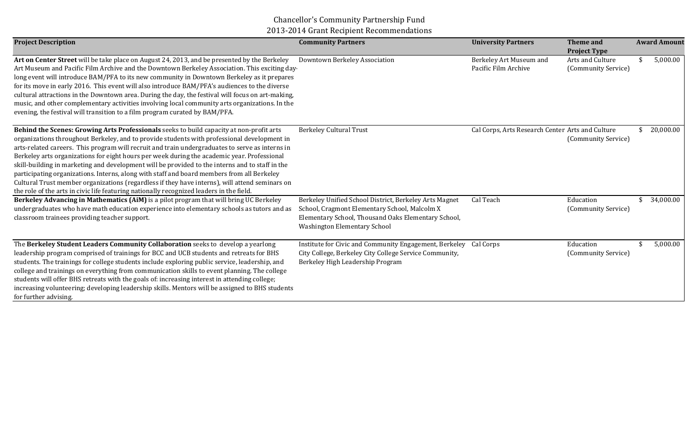## Chancellor's Community Partnership Fund 2013-2014 Grant Recipient Recommendations

| <b>Project Description</b>                                                                                                                                                                                                                                                                                                                                                                                                                                                                                                                                                                                                                                                                                                                                                               | <b>Community Partners</b>                                                                                                                                                                             | <b>University Partners</b>                       | <b>Theme</b> and<br><b>Project Type</b> | <b>Award Amount</b> |
|------------------------------------------------------------------------------------------------------------------------------------------------------------------------------------------------------------------------------------------------------------------------------------------------------------------------------------------------------------------------------------------------------------------------------------------------------------------------------------------------------------------------------------------------------------------------------------------------------------------------------------------------------------------------------------------------------------------------------------------------------------------------------------------|-------------------------------------------------------------------------------------------------------------------------------------------------------------------------------------------------------|--------------------------------------------------|-----------------------------------------|---------------------|
| Art on Center Street will be take place on August 24, 2013, and be presented by the Berkeley<br>Art Museum and Pacific Film Archive and the Downtown Berkeley Association. This exciting day-<br>long event will introduce BAM/PFA to its new community in Downtown Berkeley as it prepares<br>for its move in early 2016. This event will also introduce BAM/PFA's audiences to the diverse<br>cultural attractions in the Downtown area. During the day, the festival will focus on art-making,<br>music, and other complementary activities involving local community arts organizations. In the<br>evening, the festival will transition to a film program curated by BAM/PFA.                                                                                                       | Downtown Berkeley Association                                                                                                                                                                         | Berkeley Art Museum and<br>Pacific Film Archive  | Arts and Culture<br>(Community Service) | 5,000.00            |
| Behind the Scenes: Growing Arts Professionals seeks to build capacity at non-profit arts<br>organizations throughout Berkeley, and to provide students with professional development in<br>arts-related careers. This program will recruit and train undergraduates to serve as interns in<br>Berkeley arts organizations for eight hours per week during the academic year. Professional<br>skill-building in marketing and development will be provided to the interns and to staff in the<br>participating organizations. Interns, along with staff and board members from all Berkeley<br>Cultural Trust member organizations (regardless if they have interns), will attend seminars on<br>the role of the arts in civic life featuring nationally recognized leaders in the field. | <b>Berkeley Cultural Trust</b>                                                                                                                                                                        | Cal Corps, Arts Research Center Arts and Culture | (Community Service)                     | 20,000.00           |
| Berkeley Advancing in Mathematics (AiM) is a pilot program that will bring UC Berkeley<br>undergraduates who have math education experience into elementary schools as tutors and as<br>classroom trainees providing teacher support.                                                                                                                                                                                                                                                                                                                                                                                                                                                                                                                                                    | Berkeley Unified School District, Berkeley Arts Magnet<br>School, Cragmont Elementary School, Malcolm X<br>Elementary School, Thousand Oaks Elementary School,<br><b>Washington Elementary School</b> | Cal Teach                                        | Education<br>(Community Service)        | 34,000.00           |
| The Berkeley Student Leaders Community Collaboration seeks to develop a yearlong<br>leadership program comprised of trainings for BCC and UCB students and retreats for BHS<br>students. The trainings for college students include exploring public service, leadership, and<br>college and trainings on everything from communication skills to event planning. The college<br>students will offer BHS retreats with the goals of: increasing interest in attending college;<br>increasing volunteering; developing leadership skills. Mentors will be assigned to BHS students<br>for further advising.                                                                                                                                                                               | Institute for Civic and Community Engagement, Berkeley<br>City College, Berkeley City College Service Community,<br>Berkeley High Leadership Program                                                  | Cal Corps                                        | Education<br>(Community Service)        | 5,000.00            |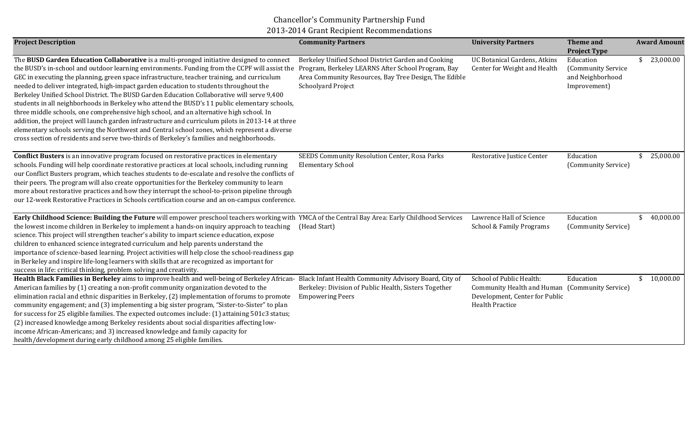## Chancellor's Community Partnership Fund 2013-2014 Grant Recipient Recommendations

| <b>Project Description</b>                                                                                                                                                                                                                                                                                                                                                                                                                                                                                                                                                                                                                                                                                                                                                                                                                                                                                                                                                     | <b>Community Partners</b>                                                                                                                                                                | <b>University Partners</b>                                                                                         | Theme and<br><b>Project Type</b>                                    | <b>Award Amount</b> |
|--------------------------------------------------------------------------------------------------------------------------------------------------------------------------------------------------------------------------------------------------------------------------------------------------------------------------------------------------------------------------------------------------------------------------------------------------------------------------------------------------------------------------------------------------------------------------------------------------------------------------------------------------------------------------------------------------------------------------------------------------------------------------------------------------------------------------------------------------------------------------------------------------------------------------------------------------------------------------------|------------------------------------------------------------------------------------------------------------------------------------------------------------------------------------------|--------------------------------------------------------------------------------------------------------------------|---------------------------------------------------------------------|---------------------|
| The BUSD Garden Education Collaborative is a multi-pronged initiative designed to connect<br>the BUSD's in-school and outdoor learning environments. Funding from the CCPF will assist the<br>GEC in executing the planning, green space infrastructure, teacher training, and curriculum<br>needed to deliver integrated, high-impact garden education to students throughout the<br>Berkeley Unified School District. The BUSD Garden Education Collaborative will serve 9,400<br>students in all neighborhoods in Berkeley who attend the BUSD's 11 public elementary schools,<br>three middle schools, one comprehensive high school, and an alternative high school. In<br>addition, the project will launch garden infrastructure and curriculum pilots in 2013-14 at three<br>elementary schools serving the Northwest and Central school zones, which represent a diverse<br>cross section of residents and serve two-thirds of Berkeley's families and neighborhoods. | Berkeley Unified School District Garden and Cooking<br>Program, Berkeley LEARNS After School Program, Bay<br>Area Community Resources, Bay Tree Design, The Edible<br>Schoolyard Project | UC Botanical Gardens, Atkins<br>Center for Weight and Health                                                       | Education<br>(Community Service<br>and Neighborhood<br>Improvement) | 23,000.00           |
| <b>Conflict Busters</b> is an innovative program focused on restorative practices in elementary<br>schools. Funding will help coordinate restorative practices at local schools, including running<br>our Conflict Busters program, which teaches students to de-escalate and resolve the conflicts of<br>their peers. The program will also create opportunities for the Berkeley community to learn<br>more about restorative practices and how they interrupt the school-to-prison pipeline through<br>our 12-week Restorative Practices in Schools certification course and an on-campus conference.                                                                                                                                                                                                                                                                                                                                                                       | SEEDS Community Resolution Center, Rosa Parks<br><b>Elementary School</b>                                                                                                                | Restorative Justice Center                                                                                         | Education<br>(Community Service)                                    | 25,000.00           |
| Early Childhood Science: Building the Future will empower preschool teachers working with YMCA of the Central Bay Area: Early Childhood Services<br>the lowest income children in Berkeley to implement a hands-on inquiry approach to teaching<br>science. This project will strengthen teacher's ability to impart science education, expose<br>children to enhanced science integrated curriculum and help parents understand the<br>importance of science-based learning. Project activities will help close the school-readiness gap<br>in Berkeley and inspire life-long learners with skills that are recognized as important for<br>success in life: critical thinking, problem solving and creativity.                                                                                                                                                                                                                                                                | (Head Start)                                                                                                                                                                             | Lawrence Hall of Science<br>School & Family Programs                                                               | Education<br>(Community Service)                                    | 40,000.00           |
| Health Black Families in Berkeley aims to improve health and well-being of Berkeley African- Black Infant Health Community Advisory Board, City of<br>American families by (1) creating a non-profit community organization devoted to the<br>elimination racial and ethnic disparities in Berkeley, (2) implementation of forums to promote<br>community engagement; and (3) implementing a big sister program, "Sister-to-Sister" to plan<br>for success for 25 eligible families. The expected outcomes include: (1) attaining 501c3 status;<br>(2) increased knowledge among Berkeley residents about social disparities affecting low-<br>income African-Americans; and 3) increased knowledge and family capacity for<br>health/development during early childhood among 25 eligible families.                                                                                                                                                                           | Berkeley: Division of Public Health, Sisters Together<br><b>Empowering Peers</b>                                                                                                         | School of Public Health:<br>Community Health and Human<br>Development, Center for Public<br><b>Health Practice</b> | Education<br>(Community Service)                                    | 10,000.00           |